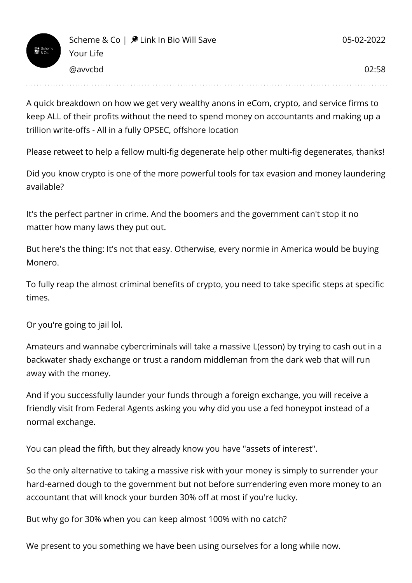A quick breakdown on how we get very wealthy anons in eCom, crypto, and service firms to keep ALL of their profits without the need to spend money on accountants and making up a trillion write-offs - All in a fully OPSEC, offshore location

Please retweet to help a fellow multi-fig degenerate help other multi-fig degenerates, thanks!

Did you know crypto is one of the more powerful tools for tax evasion and money laundering available?

It's the perfect partner in crime. And the boomers and the government can't stop it no matter how many laws they put out.

But here's the thing: It's not that easy. Otherwise, every normie in America would be buying Monero.

To fully reap the almost criminal benefits of crypto, you need to take specific steps at specific times.

Or you're going to jail lol.

Amateurs and wannabe cybercriminals will take a massive L(esson) by trying to cash out in a backwater shady exchange or trust a random middleman from the dark web that will run away with the money.

And if you successfully launder your funds through a foreign exchange, you will receive a friendly visit from Federal Agents asking you why did you use a fed honeypot instead of a normal exchange.

You can plead the fifth, but they already know you have "assets of interest".

So the only alternative to taking a massive risk with your money is simply to surrender your hard-earned dough to the government but not before surrendering even more money to an accountant that will knock your burden 30% off at most if you're lucky.

But why go for 30% when you can keep almost 100% with no catch?

We present to you something we have been using ourselves for a long while now.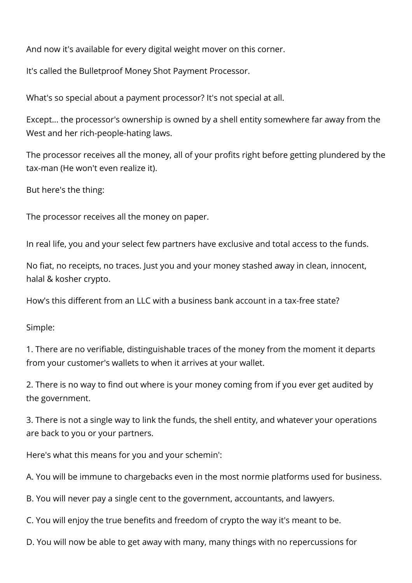And now it's available for every digital weight mover on this corner.

It's called the Bulletproof Money Shot Payment Processor.

What's so special about a payment processor? It's not special at all.

Except... the processor's ownership is owned by a shell entity somewhere far away from the West and her rich-people-hating laws.

The processor receives all the money, all of your profits right before getting plundered by the tax-man (He won't even realize it).

But here's the thing:

The processor receives all the money on paper.

In real life, you and your select few partners have exclusive and total access to the funds.

No fiat, no receipts, no traces. Just you and your money stashed away in clean, innocent, halal & kosher crypto.

How's this different from an LLC with a business bank account in a tax-free state?

Simple:

1. There are no verifiable, distinguishable traces of the money from the moment it departs from your customer's wallets to when it arrives at your wallet.

2. There is no way to find out where is your money coming from if you ever get audited by the government.

3. There is not a single way to link the funds, the shell entity, and whatever your operations are back to you or your partners.

Here's what this means for you and your schemin':

A. You will be immune to chargebacks even in the most normie platforms used for business.

B. You will never pay a single cent to the government, accountants, and lawyers.

C. You will enjoy the true benefits and freedom of crypto the way it's meant to be.

D. You will now be able to get away with many, many things with no repercussions for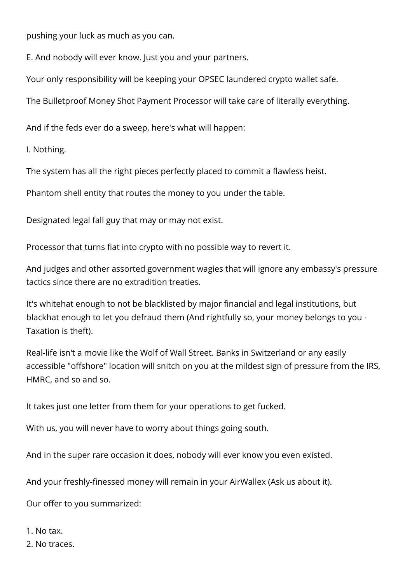pushing your luck as much as you can.

E. And nobody will ever know. Just you and your partners.

Your only responsibility will be keeping your OPSEC laundered crypto wallet safe.

The Bulletproof Money Shot Payment Processor will take care of literally everything.

And if the feds ever do a sweep, here's what will happen:

I. Nothing.

The system has all the right pieces perfectly placed to commit a flawless heist.

Phantom shell entity that routes the money to you under the table.

Designated legal fall guy that may or may not exist.

Processor that turns fiat into crypto with no possible way to revert it.

And judges and other assorted government wagies that will ignore any embassy's pressure tactics since there are no extradition treaties.

It's whitehat enough to not be blacklisted by major financial and legal institutions, but blackhat enough to let you defraud them (And rightfully so, your money belongs to you - Taxation is theft).

Real-life isn't a movie like the Wolf of Wall Street. Banks in Switzerland or any easily accessible "offshore" location will snitch on you at the mildest sign of pressure from the IRS, HMRC, and so and so.

It takes just one letter from them for your operations to get fucked.

With us, you will never have to worry about things going south.

And in the super rare occasion it does, nobody will ever know you even existed.

And your freshly-finessed money will remain in your AirWallex (Ask us about it).

Our offer to you summarized:

1. No tax.

2. No traces.